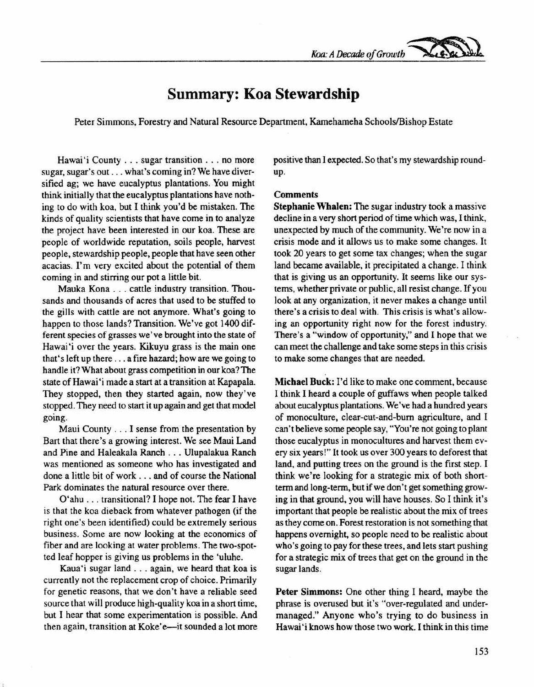*Koa:A Decade of Growth ~*

## **Summary: Koa Stewardship**

Peter Simmons, Forestry and Natural Resource Department, Kamehameha Schools/Bishop Estate

Hawai'i County ... sugar transition ... no more sugar, sugar's out ... what's coming in? We have diversified ag; we have eucalyptus plantations. You might think initially that the eucalyptus plantations have nothing to do with koa, but I think you'd be mistaken. The kinds of quality scientists that have come in to analyze the project have been interested in our koa. These are people of worldwide reputation, soils people, harvest people, stewardship people, people that have seen other acacias. I'm very excited about the potential of them coming in and stirring our pot a little bit.

Mauka Kona . . . cattle industry transition. Thousands and thousands of acres that used to be stuffed to the gills with cattle are not anymore. What's going to happen to those lands? Transition. We've got 1400 different species of grasses we've brought into the state of Hawai'i over the years. Kikuyu grass is the main one that's left up there ... a fire hazard; how are we going to handle it? What about grass competition in our koa? The state of Hawai 'imade a start at a transition at Kapapala. They stopped, then they started again, now they've stopped. They need to start it up again and get that model going.

Maui County ... I sense from the presentation by Bart that there's a growing interest. We see Maui Land and Pine and Haleakala Ranch ... Ulupalakua Ranch was mentioned as someone who has investigated and done a little bit of work ... and of course the National Park dominates the natural resource over there.

O'ahu ... transitional? I hope not. The fear I have is that the koa dieback from whatever pathogen (if the right one's been identified) could be extremely serious business. Some are now looking at the economics of fiber and are looking at water problems. The two-spotted leaf hopper is giving us problems in the 'uluhe.

Kaua'i sugar land ... again, we heard that koa is currently not the replacement crop of choice. Primarily for genetic reasons, that we don't have a reliable seed source that will produce high-quality koa in a short time, but I hear that some experimentation is possible. And then again, transition at Koke'e-it sounded a lot more positive than I expected. So that's my stewardship roundup.

## **Comments**

Stephanie Whalen: The sugar industry took a massive decline in a very short period of time which was, I think, unexpected by much of the community. We're now in a crisis mode and it allows us to make some changes. It took 20 years to get some tax changes; when the sugar land became available, it precipitated a change. I think that is giving us an opportunity. It seems like our systems, whether private or public, all resist change. If you look at any organization, it never makes a change until there's a crisis to deal with. This crisis is what's allowing an opportunity right now for the forest industry. There's a "window of opportunity," and I hope that we can meet the challenge and take some steps in this crisis to make some changes that are needed.

Michael Buck: I'd like to make one comment, because I think I heard a couple of guffaws when people talked about eucalyptus plantations. We've had a hundred years of monoculture, clear-cut-and-burn agriculture, and I can't believe some people say, "You're not going to plant those eucalyptus in monocultures and harvest them every six years!" It took us over 300 years to deforest that land, and putting trees on the ground is the first step. I think we're looking for a strategic mix of both shortterm and long-term, but if we don't get something growing in that ground, you will have houses. So I think it's important that people be realistic about the mix of trees as they come on. Forest restoration is not something that happens overnight, so people need to be realistic about who's going to pay for these trees, and lets start pushing for a strategic mix of trees that get on the ground in the sugar lands.

Peter Simmons: One other thing I heard, maybe the phrase is overused but it's "over-regulated and undermanaged." Anyone who's trying to do business in Hawai'i knows how those two work. I think in this time